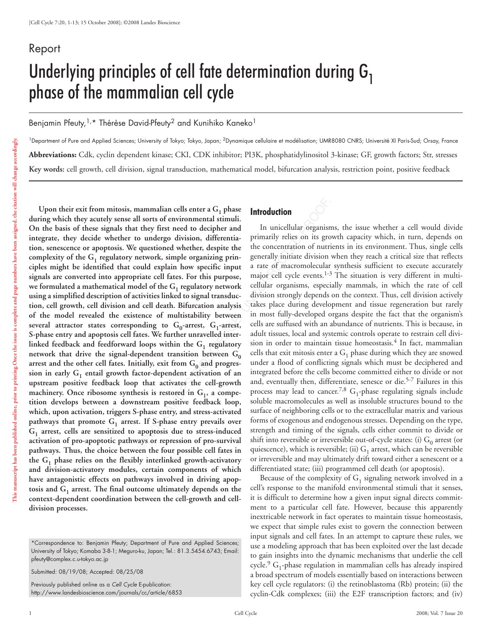# Report Underlying principles of cell fate determination during  $G_1$ phase of the mammalian cell cycle

Benjamin Pfeuty,<sup>1,\*</sup> Thérèse David-Pfeuty<sup>2</sup> and Kunihiko Kaneko<sup>1</sup>

<sup>1</sup>Department of Pure and Applied Sciences; University of Tokyo; Tokyo, Japan; <sup>2</sup>Dynamique cellulaire et modélisation; UMR8080 CNRS; Université XI Paris-Sud; Orsay, France **Abbreviations:** Cdk, cyclin dependent kinase; CKI, CDK inhibitor; PI3K, phosphatidylinositol 3-kinase; GF, growth factors; Str, stresses **Key words:** cell growth, cell division, signal transduction, mathematical model, bifurcation analysis, restriction point, positive feedback

mammalian cells enter a G<sub>1</sub> phase<br>
Il sorts of environmental stimuli.<br>
Il sorts of environmental stimuli.<br>
In unicellular organism<br>
co undergo division, differentia-<br>
primarily relies on its gro<br>
questioned whether, desp Upon their exit from mitosis, mammalian cells enter a G<sub>1</sub> phase **during which they acutely sense all sorts of environmental stimuli. On the basis of these signals that they first need to decipher and integrate, they decide whether to undergo division, differentiation, senescence or apoptosis. We questioned whether, despite the**  complexity of the G<sub>1</sub> regulatory network, simple organizing prin**ciples might be identified that could explain how specific input signals are converted into appropriate cell fates. For this purpose,**  we formulated a mathematical model of the G<sub>1</sub> regulatory network **using a simplified description of activities linked to signal transduction, cell growth, cell division and cell death. Bifurcation analysis of the model revealed the existence of multistability between**  several attractor states corresponding to  $G_0$ -arrest,  $G_1$ -arrest, **S-phase entry and apoptosis cell fates. We further unravelled inter**linked feedback and feedforward loops within the G<sub>1</sub> regulatory network that drive the signal-dependent transition between G<sub>0</sub> arrest and the other cell fates. Initially, exit from G<sub>0</sub> and progres $s$ ion in early  $G_1$  entail growth factor-dependent activation of an **upstream positive feedback loop that activates the cell-growth**  machinery. Once ribosome synthesis is restored in G<sub>1</sub>, a compe**tition develops between a downstream positive feedback loop, which, upon activation, triggers S-phase entry, and stress-activated**  pathways that promote  $G_1$  arrest. If S-phase entry prevails over **G1 arrest, cells are sensitized to apoptosis due to stress-induced activation of pro-apoptotic pathways or repression of pro-survival pathways. Thus, the choice between the four possible cell fates in the G1 phase relies on the flexibly interlinked growth-activatory and division-activatory modules, certain components of which have antagonistic effects on pathways involved in driving apop**tosis and  $G_1$  arrest. The final outcome ultimately depends on the **context-dependent coordination between the cell-growth and celldivision processes.**

#### \*Correspondence to: Benjamin Pfeuty; Department of Pure and Applied Sciences; University of Tokyo; Komaba 3-8-1; Meguro-ku, Japan; Tel.: 81.3.5454.6743; Email: pfeuty@complex.c.u-tokyo.ac.jp

Submitted: 08/19/08; Accepted: 08/25/08

Previously published online as a *Cell Cycle* E-publication: http://www.landesbioscience.com/journals/cc/article/6853

# **Introduction**

In unicellular organisms, the issue whether a cell would divide primarily relies on its growth capacity which, in turn, depends on the concentration of nutrients in its environment. Thus, single cells generally initiate division when they reach a critical size that reflects a rate of macromolecular synthesis sufficient to execute accurately major cell cycle events.<sup>1-3</sup> The situation is very different in multicellular organisms, especially mammals, in which the rate of cell division strongly depends on the context. Thus, cell division actively takes place during development and tissue regeneration but rarely in most fully-developed organs despite the fact that the organism's cells are suffused with an abundance of nutrients. This is because, in adult tissues, local and systemic controls operate to restrain cell division in order to maintain tissue homeostasis.<sup>4</sup> In fact, mammalian cells that exit mitosis enter a  $G_1$  phase during which they are snowed under a flood of conflicting signals which must be deciphered and integrated before the cells become committed either to divide or not and, eventually then, differentiate, senesce or die.<sup>5-7</sup> Failures in this process may lead to cancer.<sup>7,8</sup> G<sub>1</sub>-phase regulating signals include soluble macromolecules as well as insoluble structures bound to the surface of neighboring cells or to the extracellular matrix and various forms of exogenous and endogenous stresses. Depending on the type, strength and timing of the signals, cells either commit to divide or shift into reversible or irreversible out-of-cycle states: (i)  $G_0$  arrest (or quiescence), which is reversible; (ii)  $G_1$  arrest, which can be reversible or irreversible and may ultimately drift toward either a senescent or a differentiated state; (iii) programmed cell death (or apoptosis).

Because of the complexity of  $G_1$  signaling network involved in a cell's response to the manifold environmental stimuli that it senses, it is difficult to determine how a given input signal directs commitment to a particular cell fate. However, because this apparently inextricable network in fact operates to maintain tissue homeostasis, we expect that simple rules exist to govern the connection between input signals and cell fates. In an attempt to capture these rules, we use a modeling approach that has been exploited over the last decade to gain insights into the dynamic mechanisms that underlie the cell cycle.<sup>9</sup> G<sub>1</sub>-phase regulation in mammalian cells has already inspired a broad spectrum of models essentially based on interactions between key cell cycle regulators: (i) the retinoblastoma (Rb) protein; (ii) the cyclin-Cdk complexes; (iii) the E2F transcription factors; and (iv)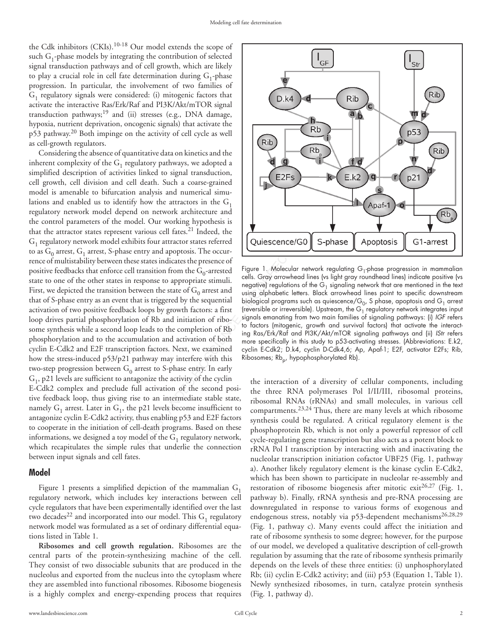the Cdk inhibitors (CKIs).<sup>10-18</sup> Our model extends the scope of such  $G_1$ -phase models by integrating the contribution of selected signal transduction pathways and of cell growth, which are likely to play a crucial role in cell fate determination during  $G_1$ -phase progression. In particular, the involvement of two families of  $G_1$  regulatory signals were considered: (i) mitogenic factors that activate the interactive Ras/Erk/Raf and PI3K/Akt/mTOR signal transduction pathways;19 and (ii) stresses (e.g., DNA damage, hypoxia, nutrient deprivation, oncogenic signals) that activate the p53 pathway.20 Both impinge on the activity of cell cycle as well as cell-growth regulators.

From the attractors in the G<sub>1</sub><br>
Lead, Our working hypothesis is<br>
aratious cell fates.<sup>21</sup> Indeed, the<br>
aratious cell fates.<sup>21</sup> Indeed, the<br>
aratious cell fates.<sup>21</sup> Indeed, the<br>
aration from the G<sub>0</sub> arrest and<br>
the G<sub>0</sub> Considering the absence of quantitative data on kinetics and the inherent complexity of the  $G_1$  regulatory pathways, we adopted a simplified description of activities linked to signal transduction, cell growth, cell division and cell death. Such a coarse-grained model is amenable to bifurcation analysis and numerical simulations and enabled us to identify how the attractors in the  $G_1$ regulatory network model depend on network architecture and the control parameters of the model. Our working hypothesis is that the attractor states represent various cell fates. $21$  Indeed, the G<sub>1</sub> regulatory network model exhibits four attractor states referred to as  $G_0$  arrest,  $G_1$  arrest, S-phase entry and apoptosis. The occurrence of multistability between these states indicates the presence of positive feedbacks that enforce cell transition from the  $G_0$ -arrested state to one of the other states in response to appropriate stimuli. First, we depicted the transition between the state of  $G_0$  arrest and that of S-phase entry as an event that is triggered by the sequential activation of two positive feedback loops by growth factors: a first loop drives partial phosphorylation of Rb and initiation of ribosome synthesis while a second loop leads to the completion of Rb phosphorylation and to the accumulation and activation of both cyclin E-Cdk2 and E2F transcription factors. Next, we examined how the stress-induced p53/p21 pathway may interfere with this two-step progression between  $G_0$  arrest to S-phase entry. In early  $G_1$ , p21 levels are sufficient to antagonize the activity of the cyclin E-Cdk2 complex and preclude full activation of the second positive feedback loop, thus giving rise to an intermediate stable state, namely  $G_1$  arrest. Later in  $G_1$ , the p21 levels become insufficient to antagonize cyclin E-Cdk2 activity, thus enabling p53 and E2F factors to cooperate in the initiation of cell-death programs. Based on these informations, we designed a toy model of the  $G_1$  regulatory network, which recapitulates the simple rules that underlie the connection between input signals and cell fates.

### **Model**

Figure 1 presents a simplified depiction of the mammalian  $G_1$ regulatory network, which includes key interactions between cell cycle regulators that have been experimentally identified over the last two decades<sup>22</sup> and incorporated into our model. This  $G_1$  regulatory network model was formulated as a set of ordinary differential equations listed in Table 1.

**Ribosomes and cell growth regulation.** Ribosomes are the central parts of the protein-synthesizing machine of the cell. They consist of two dissociable subunits that are produced in the nucleolus and exported from the nucleus into the cytoplasm where they are assembled into functional ribosomes. Ribosome biogenesis is a highly complex and energy-expending process that requires



Figure 1. Molecular network regulating  $G_1$ -phase progression in mammalian cells. Gray arrowhead lines (vs light gray roundhead lines) indicate positive (vs negative) regulations of the  $G_1$  signaling network that are mentioned in the text using alphabetic letters. Black arrowhead lines point to specific downstream biological programs such as quiescence/ $\mathsf{G}_{0}$ , S phase, apoptosis and  $\mathsf{G}_{1}$  arrest (reversible or irreversible). Upstream, the  $G_1$  regulatory network integrates input signals emanating from two main families of signaling pathways: (i) *IGF* refers to factors (mitogenic, growth and survival factors) that activate the interacting Ras/Erk/Raf and PI3K/Akt/mTOR signaling pathways and (ii) *IStr* refers more specifically in this study to p53-activating stresses. (Abbreviations: E.k2, cyclin E-Cdk2; D.k4, cyclin D-Cdk4,6; Ap, Apaf-1; E2F, activator E2Fs; Rib, Ribosomes; Rb<sub>p</sub>, hypophosphorylated Rb).

the interaction of a diversity of cellular components, including the three RNA polymerases Pol I/II/III, ribosomal proteins, ribosomal RNAs (rRNAs) and small molecules, in various cell compartments.23,24 Thus, there are many levels at which ribosome synthesis could be regulated. A critical regulatory element is the phosphoprotein Rb, which is not only a powerful repressor of cell cycle-regulating gene transcription but also acts as a potent block to rRNA Pol I transcription by interacting with and inactivating the nucleolar transcription initiation cofactor UBF25 (Fig. 1, pathway a). Another likely regulatory element is the kinase cyclin E-Cdk2, which has been shown to participate in nucleolar re-assembly and restoration of ribosome biogenesis after mitotic exit<sup>26,27</sup> (Fig. 1, pathway b). Finally, rRNA synthesis and pre-RNA processing are downregulated in response to various forms of exogenous and endogenous stress, notably via p53-dependent mechanisms<sup>26,28,29</sup> (Fig. 1, pathway c). Many events could affect the initiation and rate of ribosome synthesis to some degree; however, for the purpose of our model, we developed a qualitative description of cell-growth regulation by assuming that the rate of ribosome synthesis primarily depends on the levels of these three entities: (i) unphosphorylated Rb; (ii) cyclin E-Cdk2 activity; and (iii) p53 (Equation 1, Table 1). Newly synthesized ribosomes, in turn, catalyze protein synthesis (Fig. 1, pathway d).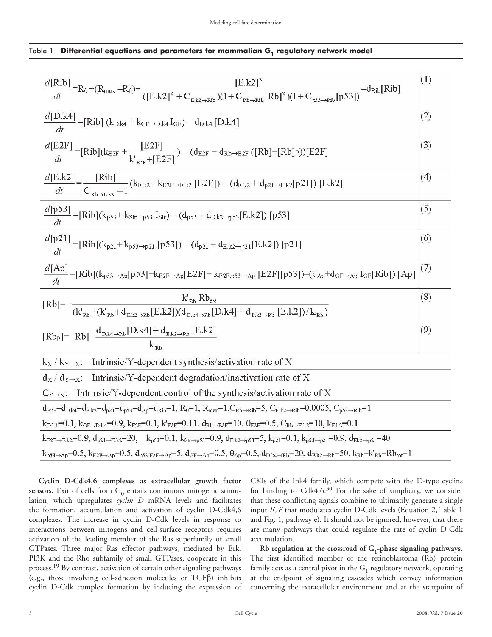## Table 1 Differential equations and parameters for mammalian G<sub>1</sub> regulatory network model

| $\frac{d[\text{Rib}]}{dt} = R_0 + (R_{\text{max}} - R_0) + \frac{[\text{E.k2}]^2}{([\text{E.k2}]^2 + C_{\text{E.k2} \to \text{Rib}})(1 + C_{\text{Rb} \to \text{Rib}} [\text{Rb}]^2)(1 + C_{\text{p53} \to \text{Rib}} [p53])}$<br>$-d_{Rib}[Rib]$       | (1) |  |
|----------------------------------------------------------------------------------------------------------------------------------------------------------------------------------------------------------------------------------------------------------|-----|--|
| $\frac{d[D.k4]}{[B.k4]} = [Rib] (k_{D.k4} + k_{GF \to D.k4} I_{GF}) - d_{D.k4} [D.k4]$<br>dt                                                                                                                                                             | (2) |  |
| $\frac{d[E2F]}{dt} = [Rib](k_{E2F} + \frac{[E2F]}{k'_{\text{exp}} + [E2F]}) - (d_{E2F} + d_{Rb \to E2F} ([Rb] + [Rb]P))[E2F]$                                                                                                                            | (3) |  |
| $\frac{d[E.k2]}{dt} = \frac{[Rib]}{C_{\text{Rb} \to \text{E}.k2} + 1} (k_{E.k2} + k_{E2F \to \text{E}.k2} [E2F]) - (d_{E.k2} + d_{p21 \to \text{E}.k2} [p21]) [E.k2]$                                                                                    | (4) |  |
| $\frac{d[p53]}{[E. k2]} = [Rib](k_{p53} + k_{Str \to p53} I_{Str}) - (d_{p53} + d_{Ek2 \to p53}[E. k2]) [p53]$<br>dt                                                                                                                                     | (5) |  |
| $\frac{d[p21]}{dt} = [Rib](k_{p21} + k_{p53 \rightarrow p21} [p53]) - (d_{p21} + d_{Ek2 \rightarrow p21} [E.k2]) [p21]$                                                                                                                                  | (6) |  |
| $\frac{d[Ap]}{l} = [Rib](k_{p53 \to Ap}[p53] + k_{E2F \to Ap}[E2F] + k_{E2F,p53 \to Ap} [E2F][p53]) - (d_{Ap} + d_{GF} \to Ap} I_{GF}[Rib]) [Ap]$                                                                                                        | (7) |  |
| $\frac{k'_\text{Rb} \ Rb_{\text{tot}}}{(k'_\text{Rb}+(k'_\text{Rb}+d_\text{E.k2\rightarrow Rb}[E.k2])(d_\text{D.k4\rightarrow Rb}[D.k4]+d_\text{E.k2\rightarrow Rb}[E.k2])/k_\text{Rb})}$<br>$[Rb]$ =                                                    | (8) |  |
| $[\mathrm{Rb}_P] = [\mathrm{Rb}] \frac{d_{\mathrm{D}.k4\to\mathrm{Rb}}[\mathrm{D}.k4] + d_{\mathrm{E}.k2\to\mathrm{Rb}} [\mathrm{E}.k2]}{4}$                                                                                                             | (9) |  |
| Intrinsic/Y-dependent synthesis/activation rate of X<br>$k_X / k_{Y\rightarrow X}$                                                                                                                                                                       |     |  |
| Intrinsic/Y-dependent degradation/inactivation rate of X<br>$d_X / d_{Y \rightarrow X}$ :                                                                                                                                                                |     |  |
| Intrinsic/Y-dependent control of the synthesis/activation rate of X<br>$C_{Y\rightarrow X}$ :                                                                                                                                                            |     |  |
| $d_{E2F} = d_{D,k4} = d_{E,k2} = d_{p21} = d_{p53} = d_{Ap} = d_{Rib} = 1$ , $R_0 = 1$ , $R_{max} = 1$ , $C_{Rb \rightarrow Rib} = 5$ , $C_{E,k2 \rightarrow Rib} = 0.0005$ , $C_{p53 \rightarrow Rib} = 1$                                              |     |  |
| $k_{D,k4} = 0.1, k_{GF \to D,k4} = 0.9, k_{E2F} = 0.1, k'_{E2F} = 0.11, d_{Rb \to E2F} = 10, \theta_{E2F} = 0.5, C_{Rb \to E,k2} = 10, k_{E,k2} = 0.1$                                                                                                   |     |  |
| $k_{E2F\rightarrow Ek2} = 0.9, d_{p21\rightarrow Ek2} = 20, k_{p53} = 0.1, k_{str\rightarrow p53} = 0.9, d_{E,k2\rightarrow p53} = 5, k_{p21} = 0.1, k_{p53\rightarrow p21} = 0.9, d_{Ek2\rightarrow p21} = 40$                                          |     |  |
| $k_{p53\rightarrow Ap} = 0.5$ , $k_{E2F\rightarrow Ap} = 0.5$ , $d_{p53,E2F\rightarrow Ap} = 5$ , $d_{GF\rightarrow Ap} = 0.5$ , $\theta_{Ap} = 0.5$ , $d_{D.k4\rightarrow Rb} = 20$ , $d_{E.k2\rightarrow Rb} = 50$ , $k_{Rb} = k'_{Rb} = Rb_{tot} = 1$ |     |  |

**Cyclin D-Cdk4,6 complexes as extracellular growth factor**  sensors. Exit of cells from  $G_0$  entails continuous mitogenic stimulation, which upregulates *cyclin D* mRNA levels and facilitates the formation, accumulation and activation of cyclin D-Cdk4,6 complexes. The increase in cyclin D-Cdk levels in response to interactions between mitogens and cell-surface receptors requires activation of the leading member of the Ras superfamily of small GTPases. Three major Ras effector pathways, mediated by Erk, PI3K and the Rho subfamily of small GTPases, cooperate in this process.19 By contrast, activation of certain other signaling pathways (e.g., those involving cell-adhesion molecules or TGFβ) inhibits cyclin D-Cdk complex formation by inducing the expression of CKIs of the Ink4 family, which compete with the D-type cyclins for binding to Cdk4,6.30 For the sake of simplicity, we consider that these conflicting signals combine to ultimatily generate a single input *IGF* that modulates cyclin D-Cdk levels (Equation 2, Table 1 and Fig. 1, pathway e). It should not be ignored, however, that there are many pathways that could regulate the rate of cyclin D-Cdk accumulation.

**Rb regulation at the crossroad of G1-phase signaling pathways.**  The first identified member of the retinoblastoma (Rb) protein family acts as a central pivot in the  $G_1$  regulatory network, operating at the endpoint of signaling cascades which convey information concerning the extracellular environment and at the startpoint of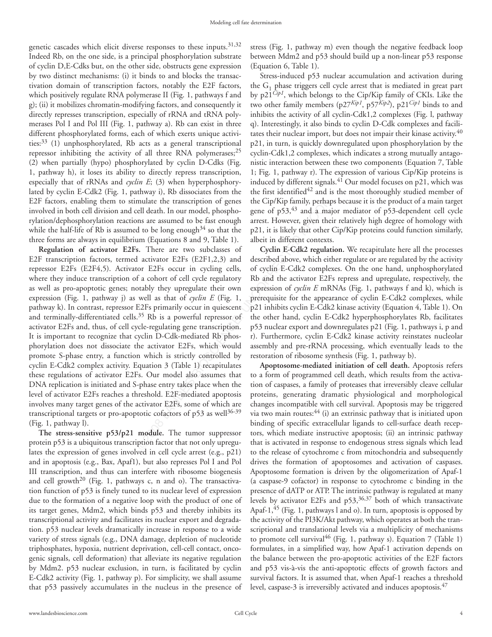genetic cascades which elicit diverse responses to these inputs. $31,32$ Indeed Rb, on the one side, is a principal phosphorylation substrate of cyclin D,E-Cdks but, on the other side, obstructs gene expression by two distinct mechanisms: (i) it binds to and blocks the transactivation domain of transcription factors, notably the E2F factors, which positively regulate RNA polymerase II (Fig. 1, pathways f and g); (ii) it mobilizes chromatin-modifying factors, and consequently it directly represses transcription, especially of rRNA and tRNA polymerases Pol I and Pol III (Fig. 1, pathway a). Rb can exist in three different phosphorylated forms, each of which exerts unique activities:33 (1) unphosphorylated, Rb acts as a general transcriptional repressor inhibiting the activity of all three RNA polymerases; $^{25}$ (2) when partially (hypo) phosphorylated by cyclin D-Cdks (Fig. 1, pathway h), it loses its ability to directly repress transcription, especially that of rRNAs and *cyclin E*; (3) when hyperphosphorylated by cyclin E-Cdk2 (Fig. 1, pathway i), Rb dissociates from the E2F factors, enabling them to stimulate the transcription of genes involved in both cell division and cell death. In our model, phosphorylation/dephosphorylation reactions are assumed to be fast enough while the half-life of Rb is assumed to be long enough<sup>34</sup> so that the three forms are always in equilibrium (Equations 8 and 9, Table 1).

mulate the transcription of genes the Cip/Kip family, perhaptell death. In our model, phospho-gene of p53,<sup>43</sup> and a mas are assumed to be fast enough arrest. However, given the otset of the fast enough and ot obe long en **Regulation of activator E2Fs.** There are two subclasses of E2F transcription factors, termed activator E2Fs (E2F1,2,3) and repressor E2Fs (E2F4,5). Activator E2Fs occur in cycling cells, where they induce transcription of a cohort of cell cycle regulatory as well as pro-apoptotic genes; notably they upregulate their own expression (Fig. 1, pathway j) as well as that of *cyclin E* (Fig. 1, pathway k). In contrast, repressor E2Fs primarily occur in quiescent and terminally-differentiated cells.<sup>35</sup> Rb is a powerful repressor of activator E2Fs and, thus, of cell cycle-regulating gene transcription. It is important to recognize that cyclin D-Cdk-mediated Rb phosphorylation does not dissociate the activator E2Fs, which would promote S-phase entry, a function which is strictly controlled by cyclin E-Cdk2 complex activity. Equation 3 (Table 1) recapitulates these regulations of activator E2Fs. Our model also assumes that DNA replication is initiated and S-phase entry takes place when the level of activator E2Fs reaches a threshold. E2F-mediated apoptosis involves many target genes of the activator E2Fs, some of which are transcriptional targets or pro-apoptotic cofactors of p53 as well<sup>36-39</sup> (Fig. 1, pathway l).

**The stress-sensitive p53/p21 module.** The tumor suppressor protein p53 is a ubiquitous transcription factor that not only upregulates the expression of genes involved in cell cycle arrest (e.g., p21) and in apoptosis (e.g., Bax, Apaf1), but also represses Pol I and Pol III transcription, and thus can interfere with ribosome biogenesis and cell growth<sup>20</sup> (Fig. 1, pathways c, n and o). The transactivation function of p53 is finely tuned to its nuclear level of expression due to the formation of a negative loop with the product of one of its target genes, Mdm2, which binds p53 and thereby inhibits its transcriptional activity and facilitates its nuclear export and degradation. p53 nuclear levels dramatically increase in response to a wide variety of stress signals (e.g., DNA damage, depletion of nucleotide triphosphates, hypoxia, nutrient deprivation, cell-cell contact, oncogenic signals, cell deformation) that alleviate its negative regulation by Mdm2. p53 nuclear exclusion, in turn, is facilitated by cyclin E-Cdk2 activity (Fig. 1, pathway p). For simplicity, we shall assume that p53 passively accumulates in the nucleus in the presence of stress (Fig. 1, pathway m) even though the negative feedback loop between Mdm2 and p53 should build up a non-linear p53 response (Equation 6, Table 1).

Stress-induced p53 nuclear accumulation and activation during the  $G_1$  phase triggers cell cycle arrest that is mediated in great part by p21*Cip1*, which belongs to the Cip/Kip family of CKIs. Like the two other family members (p27*Kip1*, p57*Kip2*), p21*Cip1* binds to and inhibits the activity of all cyclin-Cdk1,2 complexes (Fig. l, pathway q). Interestingly, it also binds to cyclin D-Cdk complexes and facilitates their nuclear import, but does not impair their kinase activity.<sup>40</sup> p21, in turn, is quickly downregulated upon phosphorylation by the cyclin-Cdk1,2 complexes, which indicates a strong mutually antagonistic interaction between these two components (Equation 7, Table 1; Fig. 1, pathway r). The expression of various Cip/Kip proteins is induced by different signals.41 Our model focuses on p21, which was the first identified<sup>42</sup> and is the most thoroughly studied member of the Cip/Kip family, perhaps because it is the product of a main target gene of p53,<sup>43</sup> and a major mediator of p53-dependent cell cycle arrest. However, given their relatively high degree of homology with p21, it is likely that other Cip/Kip proteins could function similarly, albeit in different contexts.

**Cyclin E-Cdk2 regulation.** We recapitulate here all the processes described above, which either regulate or are regulated by the activity of cyclin E-Cdk2 complexes. On the one hand, unphosphorylated Rb and the activator E2Fs repress and upregulate, respectively, the expression of *cyclin E* mRNAs (Fig. 1, pathways f and k), which is prerequisite for the appearance of cyclin E-Cdk2 complexes, while p21 inhibits cyclin E-Cdk2 kinase activity (Equation 4, Table 1). On the other hand, cyclin E-Cdk2 hyperphosphorylates Rb, facilitates p53 nuclear export and downregulates p21 (Fig. 1, pathways i, p and r). Furthermore, cyclin E-Cdk2 kinase activity reinstates nucleolar assembly and pre-rRNA processing, which eventually leads to the restoration of ribosome synthesis (Fig. 1, pathway b).

**Apoptosome-mediated initiation of cell death.** Apoptosis refers to a form of programmed cell death, which results from the activation of caspases, a family of proteases that irreversibly cleave cellular proteins, generating dramatic physiological and morphological changes incompatible with cell survival. Apoptosis may be triggered via two main routes:<sup>44</sup> (i) an extrinsic pathway that is initiated upon binding of specific extracellular ligands to cell-surface death receptors, which mediate instructive apoptosis; (ii) an intrinsic pathway that is activated in response to endogenous stress signals which lead to the release of cytochrome c from mitochondria and subsequently drives the formation of apoptosomes and activation of caspases. Apoptosome formation is driven by the oligomerization of Apaf-1 (a caspase-9 cofactor) in response to cytochrome c binding in the presence of dATP or ATP. The intrinsic pathway is regulated at many levels by activator E2Fs and p53,36,37 both of which transactivate Apaf-1,<sup>45</sup> (Fig. 1, pathways l and o). In turn, apoptosis is opposed by the activity of the PI3K/Akt pathway, which operates at both the transcriptional and translational levels via a multiplicity of mechanisms to promote cell survival<sup>46</sup> (Fig. 1, pathway s). Equation 7 (Table 1) formulates, in a simplified way, how Apaf-1 activation depends on the balance between the pro-apoptotic activities of the E2F factors and p53 vis-à-vis the anti-apoptotic effects of growth factors and survival factors. It is assumed that, when Apaf-1 reaches a threshold level, caspase-3 is irreversibly activated and induces apoptosis.47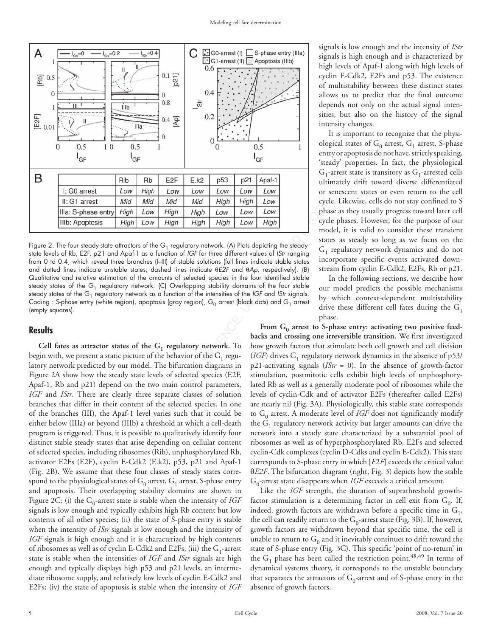

Mid Mid High High High Low<br>
Low High High Low Low Low<br>
Low High High Low Low Low<br>
Low High High Low Low Low<br>
modes of the G<sub>1</sub> regulatory network. (A) Plots depicting the steady-<br>
modes (-III) of stoble solutions (full li Figure 2. The four steady-state attractors of the  $G_1$  regulatory network. (A) Plots depicting the steadystate levels of Rb, E2F, p21 and Apaf-1 as a function of *IGF* for three different values of *IStr* ranging from 0 to 0.4, which reveal three branches (I–III) of stable solutions (full lines indicate stable states and dotted lines indicate unstable states; dashed lines indicate θ*E2F* and θ*Ap*, respectively). (B) Qualitative and relative estimation of the amounts of selected species in the four identified stable steady states of the  $G_1$  regulatory network. (C) Overlapping stability domains of the four stable steady states of the G<sub>1</sub> regulatory network as a function of the intensities of the *IGF* and *IStr* signals. Coding : S-phase entry (white region), apoptosis (gray region),  $G_0$  arrest (black dots) and  $G_1$  arrest (empty squares).

# **Results**

Cell fates as attractor states of the  $G_1$  regulatory network. To begin with, we present a static picture of the behavior of the  $G_1$  regulatory network predicted by our model. The bifurcation diagrams in Figure 2A show how the steady state levels of selected species (E2F, Apaf-1, Rb and p21) depend on the two main control parameters, *IGF* and *IStr*. There are clearly three separate classes of solution branches that differ in their content of the selected species. In one of the branches (III), the Apaf-1 level varies such that it could be either below (IIIa) or beyond (IIIb) a threshold at which a cell-death program is triggered. Thus, it is possible to qualitatively identify four distinct stable steady states that arise depending on cellular content of selected species, including ribosomes (Rib), unphosphorylated Rb, activator E2Fs (E2F), cyclin E-Cdk2 (E.k2), p53, p21 and Apaf-1 (Fig. 2B). We assume that these four classes of steady states correspond to the physiological states of  $G_0$  arrest,  $G_1$  arrest, S-phase entry and apoptosis. Their overlapping stability domains are shown in Figure 2C: (i) the  $G_0$ -arrest state is stable when the intensity of *IGF* signals is low enough and typically exhibits high Rb content but low contents of all other species; (ii) the state of S-phase entry is stable when the intensity of *IStr* signals is low enough and the intensity of *IGF* signals is high enough and it is characterized by high contents of ribosomes as well as of cyclin E-Cdk2 and E2Fs; (iii) the  $G_1$ -arrest state is stable when the intensities of *IGF* and *IStr* signals are high enough and typically displays high p53 and p21 levels, an intermediate ribosome supply, and relatively low levels of cyclin E-Cdk2 and E2Fs; (iv) the state of apoptosis is stable when the intensity of *IGF*

signals is low enough and the intensity of *IStr* signals is high enough and is characterized by high levels of Apaf-1 along with high levels of cyclin E-Cdk2, E2Fs and p53. The existence of multistability between these distinct states allows us to predict that the final outcome depends not only on the actual signal intensities, but also on the history of the signal intensity changes.

It is important to recognize that the physiological states of  $G_0$  arrest,  $G_1$  arrest, S-phase entry or apoptosis do not have, strictly speaking, 'steady' properties. In fact, the physiological  $G_1$ -arrest state is transitory as  $G_1$ -arrested cells ultimately drift toward diverse differentiated or senescent states or even return to the cell cycle. Likewise, cells do not stay confined to S phase as they usually progress toward later cell cycle phases. However, for the purpose of our model, it is valid to consider these transient states as steady so long as we focus on the  $G_1$  regulatory network dynamics and do not incorportate specific events activated downstream from cyclin E-Cdk2, E2Fs, Rb or p21.

In the following sections, we describe how our model predicts the possible mechanisms by which context-dependent multistability drive these different cell fates during the  $G_1$ phase.

From G<sub>0</sub> arrest to S-phase entry: activating two positive feed**backs and crossing one irreversible transition.** We first investigated how growth factors that stimulate both cell growth and cell division (*IGF*) drives  $G_1$  regulatory network dynamics in the absence of  $p53/$ p21-activating signals (*IStr* = 0). In the absence of growth-factor stimulation, postmitotic cells exhibit high levels of unphosphorylated Rb as well as a generally moderate pool of ribosomes while the levels of cyclin-Cdk and of activator E2Fs (thereafter called E2Fs) are nearly nil (Fig. 3A). Physiologically, this stable state corresponds to  $G_0$  arrest. A moderate level of *IGF* does not significantly modify the  $G_1$  regulatory network activity but larger amounts can drive the network into a steady state characterized by a substantial pool of ribosomes as well as of hyperphosphorylated Rb, E2Fs and selected cyclin-Cdk complexes (cyclin D-Cdks and cyclin E-Cdk2). This state corresponds to S-phase entry in which [*E*2*F*] exceeds the critical value θ*E2F*. The bifurcation diagram (right, Fig. 3) depicts how the stable  $G_0$ -arrest state disappears when *IGF* exceeds a critical amount.

Like the *IGF* strength, the duration of suprathreshold growthfactor stimulation is a determining factor in cell exit from  $G_0$ . If, indeed, growth factors are withdrawn before a specific time in  $G_1$ , the cell can readily return to the  $G_0$ -arrest state (Fig. 3B). If, however, growth factors are withdrawn beyond that specific time, the cell is unable to return to  $G_0$  and it inevitably continues to drift toward the state of S-phase entry (Fig. 3C). This specific 'point of no-return' in the  $G_1$  phase has been called the restriction point.<sup>48,49</sup> In terms of dynamical systems theory, it corresponds to the unstable boundary that separates the attractors of  $G_0$ -arrest and of S-phase entry in the absence of growth factors.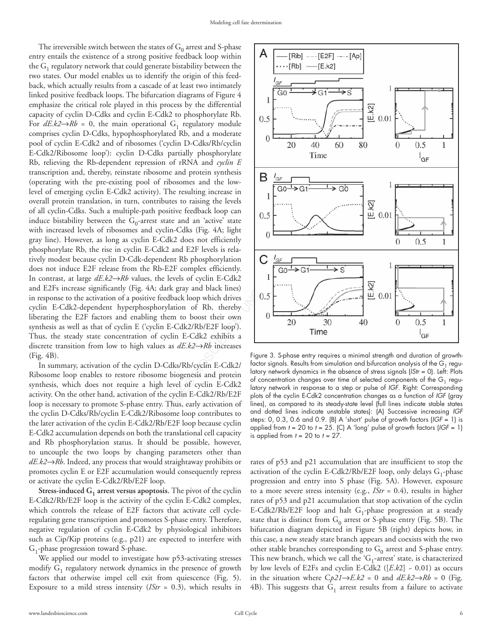1, contributes to raising the levels<br>
e-path positive feedback loop can<br>
and cyclin-Cdk2 does not efficiently<br>
in E-Cdk2 and E2F levels is rela-<br>
relationed Rb phosphorylation<br>
in E-Cdk2 and E2F levels is related<br>
luk-dep The irreversible switch between the states of  $G_0$  arrest and S-phase entry entails the existence of a strong positive feedback loop within the  $G_1$  regulatory network that could generate bistability between the two states. Our model enables us to identify the origin of this feedback, which actually results from a cascade of at least two intimately linked positive feedback loops. The bifurcation diagrams of Figure 4 emphasize the critical role played in this process by the differential capacity of cyclin D-Cdks and cyclin E-Cdk2 to phosphorylate Rb. For  $dE. k2 \rightarrow Rb = 0$ , the main operational G<sub>1</sub> regulatory module comprises cyclin D-Cdks, hypophosphorylated Rb, and a moderate pool of cyclin E-Cdk2 and of ribosomes ('cyclin D-Cdks/Rb/cyclin E-Cdk2/Ribosome loop'): cyclin D-Cdks partially phosphorylate Rb, relieving the Rb-dependent repression of rRNA and *cyclin E* transcription and, thereby, reinstate ribosome and protein synthesis (operating with the pre-existing pool of ribosomes and the lowlevel of emerging cyclin E-Cdk2 activity). The resulting increase in overall protein translation, in turn, contributes to raising the levels of all cyclin-Cdks. Such a multiple-path positive feedback loop can induce bistability between the  $G_0$ -arrest state and an 'active' state with increased levels of ribosomes and cyclin-Cdks (Fig. 4A; light gray line). However, as long as cyclin E-Cdk2 does not efficiently phosphorylate Rb, the rise in cyclin E-Cdk2 and E2F levels is relatively modest because cyclin D-Cdk-dependent Rb phosphorylation does not induce E2F release from the Rb-E2F complex efficiently. In contrast, at large *dE.k2*→*Rb* values, the levels of cyclin E-Cdk2 and E2Fs increase significantly (Fig. 4A; dark gray and black lines) in response to the activation of a positive feedback loop which drives cyclin E-Cdk2-dependent hyperphosphorylation of Rb, thereby liberating the E2F factors and enabling them to boost their own synthesis as well as that of cyclin E ('cyclin E-Cdk2/Rb/E2F loop'). Thus, the steady state concentration of cyclin E-Cdk2 exhibits a discrete transition from low to high values as *dE.k2*→*Rb* increases (Fig. 4B).

In summary, activation of the cyclin D-Cdks/Rb/cyclin E-Cdk2/ Ribosome loop enables to restore ribosome biogenesis and protein synthesis, which does not require a high level of cyclin E-Cdk2 activity. On the other hand, activation of the cyclin E-Cdk2/Rb/E2F loop is necessary to promote S-phase entry. Thus, early activation of the cyclin D-Cdks/Rb/cyclin E-Cdk2/Ribosome loop contributes to the later activation of the cyclin E-Cdk2/Rb/E2F loop because cyclin E-Cdk2 accumulation depends on both the translational cell capacity and Rb phosphorylation status. It should be possible, however, to uncouple the two loops by changing parameters other than *dE.k2*→*Rb*. Indeed, any process that would straightaway prohibits or promotes cyclin E or E2F accumulation would consequently repress or activate the cyclin E-Cdk2/Rb/E2F loop.

**Stress-induced G<sub>1</sub> arrest versus apoptosis.** The pivot of the cyclin E-Cdk2/Rb/E2F loop is the activity of the cyclin E-Cdk2 complex, which controls the release of E2F factors that activate cell cycleregulating gene transcription and promotes S-phase entry. Therefore, negative regulation of cyclin E-Cdk2 by physiological inhibitors such as Cip/Kip proteins (e.g., p21) are expected to interfere with  $G_1$ -phase progression toward S-phase.

We applied our model to investigate how p53-activating stresses modify  $G_1$  regulatory network dynamics in the presence of growth factors that otherwise impel cell exit from quiescence (Fig. 5). Exposure to a mild stress intensity (*IStr* = 0.3), which results in



Figure 3. S-phase entry requires a minimal strength and duration of growthfactor signals. Results from simulation and bifurcation analysis of the  $G_1$  regulatory network dynamics in the absence of stress signals (*IStr* = 0). Left: Plots of concentration changes over time of selected components of the  $G_1$  regulatory network in response to a step or pulse of *IGF*. Right: Corresponding plots of the cyclin E-Cdk2 concentration changes as a function of *IGF* (gray lines), as compared to its steady-state level (full lines indicate stable states and dotted lines indicate unstable states): (A) Successive increasing *IGF* steps: 0, 0.3, 0.6 and 0.9. (B) A 'short' pulse of growth factors (*IGF* = 1) is applied from *t* = 20 to *t* = 25. (C) A 'long' pulse of growth factors (*IGF* = 1) is applied from *t* = 20 to *t* = 27.

rates of p53 and p21 accumulation that are insufficient to stop the activation of the cyclin E-Cdk2/Rb/E2F loop, only delays  $G_1$ -phase progression and entry into S phase (Fig. 5A). However, exposure to a more severe stress intensity (e.g., *IStr* = 0.4), results in higher rates of p53 and p21 accumulation that stop activation of the cyclin E-Cdk2/Rb/E2F loop and halt  $G_1$ -phase progression at a steady state that is distinct from  $G_0$  arrest or S-phase entry (Fig. 5B). The bifurcation diagram depicted in Figure 5B (right) depicts how, in this case, a new steady state branch appears and coexists with the two other stable branches corresponding to  $G_0$  arrest and S-phase entry. This new branch, which we call the ' $G_1$ -arrest' state, is characterized by low levels of E2Fs and cyclin E-Cdk2 ([*E*.*k*2] ~ 0.01) as occurs in the situation where  $Cp21 \rightarrow E.k2 = 0$  and  $dE.k2 \rightarrow Rb = 0$  (Fig. 4B). This suggests that  $G_1$  arrest results from a failure to activate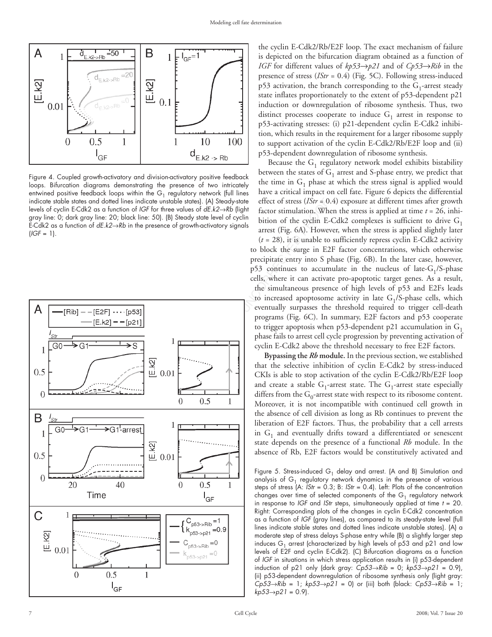

Figure 4. Coupled growth-activatory and division-activatory positive feedback loops. Bifurcation diagrams demonstrating the presence of two intricately entwined positive feedback loops within the  $G_1$  regulatory network (full lines indicate stable states and dotted lines indicate unstable states). (A) Steady-state levels of cyclin E-Cdk2 as a function of *IGF* for three values of *dE.k2*→*Rb* (light gray line: 0; dark gray line: 20; black line: 50). (B) Steady state level of cyclin E-Cdk2 as a function of *dE.k2*→*Rb* in the presence of growth-activatory signals  $(IGF = 1).$ 



the cyclin E-Cdk2/Rb/E2F loop. The exact mechanism of failure is depicted on the bifurcation diagram obtained as a function of *IGF* for different values of *kp53*→*p21* and of *Cp53*→*Rib* in the presence of stress (*IStr* = 0.4) (Fig. 5C). Following stress-induced  $p53$  activation, the branch corresponding to the  $G_1$ -arrest steady state inflates proportionately to the extent of p53-dependent p21 induction or downregulation of ribosome synthesis. Thus, two distinct processes cooperate to induce  $G_1$  arrest in response to p53-activating stresses: (i) p21-dependent cyclin E-Cdk2 inhibition, which results in the requirement for a larger ribosome supply to support activation of the cyclin E-Cdk2/Rb/E2F loop and (ii) p53-dependent downregulation of ribosome synthesis.

Because the  $G_1$  regulatory network model exhibits bistability between the states of  $G_1$  arrest and S-phase entry, we predict that the time in  $G_1$  phase at which the stress signal is applied would have a critical impact on cell fate. Figure 6 depicts the differential effect of stress (*IStr* = 0.4) exposure at different times after growth factor stimulation. When the stress is applied at time *t* = 26, inhibition of the cyclin E-Cdk2 complexes is sufficient to drive  $G_1$ arrest (Fig. 6A). However, when the stress is applied slightly later

 $(t = 28)$ , it is unable to sufficiently repress cyclin E-Cdk2 activity to block the surge in E2F factor concentrations, which otherwise precipitate entry into S phase (Fig. 6B). In the later case, however,  $p53$  continues to accumulate in the nucleus of late-G<sub>1</sub>/S-phase cells, where it can activate pro-apoptotic target genes. As a result, the simultaneous presence of high levels of p53 and E2Fs leads to increased apoptosome activity in late  $G_1/S$ -phase cells, which eventually surpasses the threshold required to trigger cell-death programs (Fig. 6C). In summary, E2F factors and p53 cooperate to trigger apoptosis when p53-dependent p21 accumulation in  $G_1$ phase fails to arrest cell cycle progression by preventing activation of cyclin E-Cdk2 above the threshold necessary to free E2F factors.

**Bypassing the** *Rb* **module.** In the previous section, we established that the selective inhibition of cyclin E-Cdk2 by stress-induced CKIs is able to stop activation of the cyclin E-Cdk2/Rb/E2F loop and create a stable  $G_1$ -arrest state. The  $G_1$ -arrest state especially differs from the  $G_0$ -arrest state with respect to its ribosome content. Moreover, it is not incompatible with continued cell growth in the absence of cell division as long as Rb continues to prevent the liberation of E2F factors. Thus, the probability that a cell arrests in  $G_1$  and eventually drifts toward a differentiated or senescent state depends on the presence of a functional *Rb* module. In the absence of Rb, E2F factors would be constitutively activated and

Figure 5. Stress-induced  $G_1$  delay and arrest. (A and B) Simulation and analysis of  $G_1$  regulatory network dynamics in the presence of various steps of stress (A: *IStr* = 0.3; B: *IStr* = 0.4). Left: Plots of the concentration changes over time of selected components of the  $G_1$  regulatory network in response to *IGF* and *IStr* steps, simultaneously applied at time *t* = 20. Right: Corresponding plots of the changes in cyclin E-Cdk2 concentration as a function of *IGF* (gray lines), as compared to its steady-state level (full lines indicate stable states and dotted lines indicate unstable states). (A) a moderate step of stress delays S-phase entry while (B) a slightly larger step induces  $G_1$  arrest (characterized by high levels of p53 and p21 and low levels of E2F and cyclin E-Cdk2). (C) Bifurcation diagrams as a function of *IGF* in situations in which stress application results in (i) p53-dependent induction of p21 only (dark gray: *Cp53*→*Rib* = 0; *kp53*→*p21* = 0.9), (ii) p53-dependent downregulation of ribosome synthesis only (light gray: *Cp53*→*Rib* = 1; *kp53*→*p21* = 0) or (iii) both (black: *Cp53*→*Rib* = 1; *kp53*→*p21* = 0.9).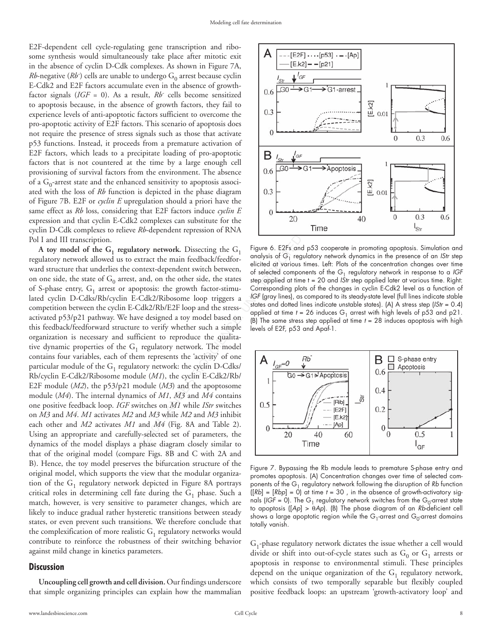E2F-dependent cell cycle-regulating gene transcription and ribosome synthesis would simultaneously take place after mitotic exit in the absence of cyclin D-Cdk complexes. As shown in Figure 7A,  $Rb\text{-negative } (Rb\text{-})$  cells are unable to undergo  $\text{G}_0$  arrest because cyclin E-Cdk2 and E2F factors accumulate even in the absence of growthfactor signals (*IGF* = 0). As a result, *Rb-* cells become sensitized to apoptosis because, in the absence of growth factors, they fail to experience levels of anti-apoptotic factors sufficient to overcome the pro-apoptotic activity of E2F factors. This scenario of apoptosis does not require the presence of stress signals such as those that activate p53 functions. Instead, it proceeds from a premature activation of E2F factors, which leads to a precipitate loading of pro-apoptotic factors that is not countered at the time by a large enough cell provisioning of survival factors from the environment. The absence of a  $G_0$ -arrest state and the enhanced sensitivity to apoptosis associated with the loss of *Rb* function is depicted in the phase diagram of Figure 7B. E2F or *cyclin E* upregulation should a priori have the same effect as *Rb* loss, considering that E2F factors induce *cyclin E* expression and that cyclin E-Cdk2 complexes can substitute for the cyclin D-Cdk complexes to relieve *Rb*-dependent repression of RNA Pol I and III transcription.

egulation should a priori have the<br>
that E2F factors induce *cyclin E*<br> *Rb*-dependent repression of RNA<br>
Time<br> *Rb*-dependent repression of RNA<br>
tory network. Dissecting the  $G_1$  requie 6. E2Fs and p53 co<br>
xtract the ma A toy model of the  $G_1$  regulatory network. Dissecting the  $G_1$ regulatory network allowed us to extract the main feedback/feedforward structure that underlies the context-dependent switch between, on one side, the state of  $G_0$  arrest, and, on the other side, the states of S-phase entry,  $G_1$  arrest or apoptosis: the growth factor-stimulated cyclin D-Cdks/Rb/cyclin E-Cdk2/Ribosome loop triggers a competition between the cyclin E-Cdk2/Rb/E2F loop and the stressactivated p53/p21 pathway. We have designed a toy model based on this feedback/feedforward structure to verify whether such a simple organization is necessary and sufficient to reproduce the qualitative dynamic properties of the  $G_1$  regulatory network. The model contains four variables, each of them represents the 'activity' of one particular module of the  $G_1$  regulatory network: the cyclin D-Cdks/ Rb/cyclin E-Cdk2/Ribosome module (*M1*), the cyclin E-Cdk2/Rb/ E2F module (*M2*), the p53/p21 module (*M3*) and the apoptosome module (*M4*). The internal dynamics of *M1*, *M3* and *M4* contains one positive feedback loop. *IGF* switches on *M1* while *IStr* switches on *M3* and *M4*. *M1* activates *M2* and *M3* while *M2* and *M3* inhibit each other and *M2* activates *M1* and *M4* (Fig. 8A and Table 2). Using an appropriate and carefully-selected set of parameters, the dynamics of the model displays a phase diagram closely similar to that of the original model (compare Figs. 8B and C with 2A and B). Hence, the toy model preserves the bifurcation structure of the original model, which supports the view that the modular organization of the  $G_1$  regulatory network depicted in Figure 8A portrays critical roles in determining cell fate during the  $G_1$  phase. Such a match, however, is very sensitive to parameter changes, which are likely to induce gradual rather hysteretic transitions between steady states, or even prevent such transitions. We therefore conclude that the complexification of more realistic  $G_1$  regulatory networks would contribute to reinforce the robustness of their switching behavior against mild change in kinetics parameters.

## **Discussion**

**Uncoupling cell growth and cell division.** Our findings underscore that simple organizing principles can explain how the mammalian



Figure 6. E2Fs and p53 cooperate in promoting apoptosis. Simulation and analysis of G<sub>1</sub> regulatory network dynamics in the presence of an *IStr* step elicited at various times. Left: Plots of the concentration changes over time of selected components of the G1 regulatory network in response to a *IGF* step applied at time t = 20 and *IStr* step applied later at various time. Right: Corresponding plots of the changes in cyclin E-Cdk2 level as a function of *IGF* (gray lines), as compared to its steady-state level (full lines indicate stable states and dotted lines indicate unstable states). (A) A stress step (*IStr* = 0.4) applied at time  $t = 26$  induces  $G_1$  arrest with high levels of p53 and p21. (B) The same stress step applied at time *t* = 28 induces apoptosis with high levels of E2F, p53 and Apaf-1.



Figure 7. Bypassing the Rb module leads to premature S-phase entry and promotes apoptosis. (A) Concentration changes over time of selected components of the G1 regulatory network following the disruption of *Rb* function ([*Rb*] = [*Rbp*] = 0) at time *t* = 30 , in the absence of growth-activatory signals (*IGF* = 0). The G<sub>1</sub> regulatory network switches from the G<sub>0</sub>-arrest state to apoptosis ([*Ap*] > θ*Ap*). (B) The phase diagram of an *Rb*-deficient cell shows a large apoptotic region while the G<sub>1</sub>-arrest and G<sub>0</sub>-arrest domains totally vanish.

 $G_1$ -phase regulatory network dictates the issue whether a cell would divide or shift into out-of-cycle states such as  $G_0$  or  $G_1$  arrests or apoptosis in response to environmental stimuli. These principles depend on the unique organization of the  $G_1$  regulatory network, which consists of two temporally separable but flexibly coupled positive feedback loops: an upstream 'growth-activatory loop' and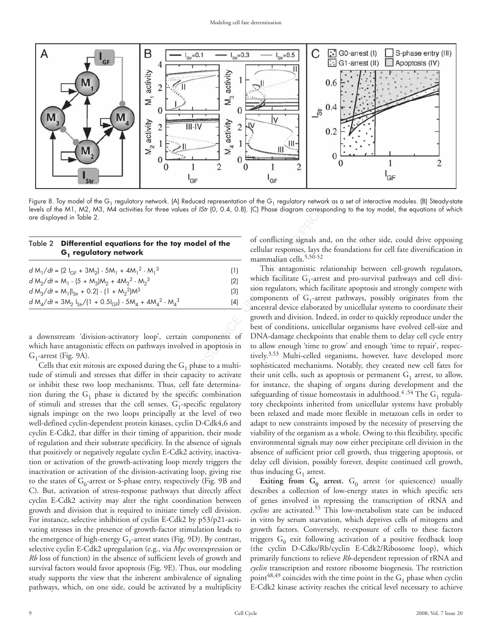

Figure 8. Toy model of the G<sub>1</sub> regulatory network. (A) Reduced representation of the G<sub>1</sub> regulatory network as a set of interactive modules. (B) Steady-state levels of the M1, M2, M3, M4 activities for three values of *IStr* (0, 0.4, 0.8). (C) Phase diagram corresponding to the toy model, the equations of which are displayed in Table 2.

# Table 2 **Differential equations for the toy model of the G1 regulatory network**

| $d M_1/dt = (2 I_{GF} + 3 M_2) - 5 M_1 + 4 M_1^2 - M_1^3$         | (1) |
|-------------------------------------------------------------------|-----|
| $d M_2/dt = M_1 - (5 + M_3)M_2 + 4M_2^2 - M_2^3$                  | (2) |
| $d M_3/dt = M_1 (I_{str} + 0.2) - (1 + M_2)^2 M^3$                | (3) |
| $d M_A/dt = 3M_2 I_{Str}/(1 + 0.5I_{GF}) - 5M_A + 4M_A^2 - M_A^3$ | (4) |

a downstream 'division-activatory loop', certain components of which have antagonistic effects on pathways involved in apoptosis in  $G_1$ -arrest (Fig. 9A).

Cells that exit mitosis are exposed during the  $G_1$  phase to a multitude of stimuli and stresses that differ in their capacity to activate or inhibit these two loop mechanisms. Thus, cell fate determination during the  $G_1$  phase is dictated by the specific combination of stimuli and stresses that the cell senses.  $G_1$ -specific regulatory signals impinge on the two loops principally at the level of two well-defined cyclin-dependent protein kinases, cyclin D-Cdk4,6 and cyclin E-Cdk2, that differ in their timing of apparition, their mode of regulation and their substrate specificity. In the absence of signals that positively or negatively regulate cyclin E-Cdk2 activity, inactivation or activation of the growth-activating loop merely triggers the inactivation or activation of the division-activating loop, giving rise to the states of  $G_0$ -arrest or S-phase entry, respectively (Fig. 9B and C). But, activation of stress-response pathways that directly affect cyclin E-Cdk2 activity may alter the tight coordination between growth and division that is required to initiate timely cell division. For instance, selective inhibition of cyclin E-Cdk2 by p53/p21-activating stresses in the presence of growth-factor stimulation leads to the emergence of high-energy  $G_1$ -arrest states (Fig. 9D). By contrast, selective cyclin E-Cdk2 upregulation (e.g., via *Myc* overexpression or *Rb* loss of function) in the absence of sufficient levels of growth and survival factors would favor apoptosis (Fig. 9E). Thus, our modeling study supports the view that the inherent ambivalence of signaling pathways, which, on one side, could be activated by a multiplicity of conflicting signals and, on the other side, could drive opposing cellular responses, lays the foundations for cell fate diversification in mammalian cells.<sup>5,50-52</sup>

by network. (A) Reduced representation of the G<sub>1</sub> regulatory network<br>
es for three values of *IStr* (0, 0.4, 0.8). (C) Phase diagram corresponds<br> **Interval of the**<br> **ICCL** Phase diagrams can be a straight interval of the This antagonistic relationship between cell-growth regulators, which facilitate  $G_1$ -arrest and pro-survival pathways and cell division regulators, which facilitate apoptosis and strongly compete with components of  $G_1$ -arrest pathways, possibly originates from the ancestral device elaborated by unicellular systems to coordinate their growth and division. Indeed, in order to quickly reproduce under the best of conditions, unicellular organisms have evolved cell-size and DNA-damage checkpoints that enable them to delay cell cycle entry to allow enough 'time to grow' and enough 'time to repair', respectively.<sup>3,53</sup> Multi-celled organisms, however, have developed more sophisticated mechanisms. Notably, they created new cell fates for their unit cells, such as apoptosis or permanent  $G_1$  arrest, to allow, for instance, the shaping of organs during development and the safeguarding of tissue homeostasis in adulthood.<sup>4,54</sup> The G<sub>1</sub> regulatory checkpoints inherited from unicellular systems have probably been relaxed and made more flexible in metazoan cells in order to adapt to new constraints imposed by the necessity of preserving the viability of the organism as a whole. Owing to this flexibility, specific environmental signals may now either precipitate cell division in the absence of sufficient prior cell growth, thus triggering apoptosis, or delay cell division, possibly forever, despite continued cell growth, thus inducing  $G_1$  arrest.

> **Exiting from**  $G_0$  **arrest.**  $G_0$  arrest (or quiescence) usually describes a collection of low-energy states in which specific sets of genes involved in repressing the transcription of rRNA and *cyclins* are activated.55 This low-metabolism state can be induced in vitro by serum starvation, which deprives cells of mitogens and growth factors. Conversely, re-exposure of cells to these factors triggers  $G_0$  exit following activation of a positive feedback loop (the cyclin D-Cdks/Rb/cyclin E-Cdk2/Ribosome loop), which primarily functions to relieve *Rb*-dependent repression of rRNA and *cyclin* transcription and restore ribosome biogenesis. The restriction point<sup>48,49</sup> coincides with the time point in the  $G_1$  phase when cyclin E-Cdk2 kinase activity reaches the critical level necessary to achieve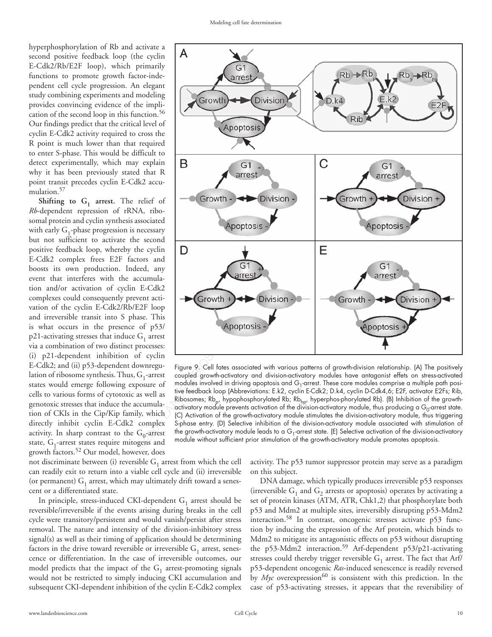hyperphosphorylation of Rb and activate a second positive feedback loop (the cyclin E-Cdk2/Rb/E2F loop), which primarily functions to promote growth factor-independent cell cycle progression. An elegant study combining experiments and modeling provides convincing evidence of the implication of the second loop in this function.<sup>56</sup> Our findings predict that the critical level of cyclin E-Cdk2 activity required to cross the R point is much lower than that required to enter S-phase. This would be difficult to detect experimentally, which may explain why it has been previously stated that R point transit precedes cyclin E-Cdk2 accumulation.<sup>57</sup>

**Shifting to**  $G_1$  **arrest.** The relief of *Rb*-dependent repression of rRNA, ribosomal protein and cyclin synthesis associated with early  $G_1$ -phase progression is necessary but not sufficient to activate the second positive feedback loop, whereby the cyclin E-Cdk2 complex frees E2F factors and boosts its own production. Indeed, any event that interferes with the accumulation and/or activation of cyclin E-Cdk2 complexes could consequently prevent activation of the cyclin E-Cdk2/Rb/E2F loop and irreversible transit into S phase. This is what occurs in the presence of p53/  $p21$ -activating stresses that induce  $G_1$  arrest via a combination of two distinct processes: (i) p21-dependent inhibition of cyclin E-Cdk2; and (ii) p53-dependent downregulation of ribosome synthesis. Thus,  $G_1$ -arrest states would emerge following exposure of cells to various forms of cytotoxic as well as genotoxic stresses that induce the accumulation of CKIs in the Cip/Kip family, which directly inhibit cyclin E-Cdk2 complex activity. In sharp contrast to the  $G_0$ -arrest state,  $G_1$ -arrest states require mitogens and growth factors.52 Our model, however, does

not discriminate between (i) reversible  $G_1$  arrest from which the cell can readily exit to return into a viable cell cycle and (ii) irreversible (or permanent)  $G_1$  arrest, which may ultimately drift toward a senescent or a differentiated state.

In principle, stress-induced CKI-dependent  $G_1$  arrest should be reversible/irreversible if the events arising during breaks in the cell cycle were transitory/persistent and would vanish/persist after stress removal. The nature and intensity of the division-inhibitory stress signal(s) as well as their timing of application should be determining factors in the drive toward reversible or irreversible  $G_1$  arrest, senescence or differentiation. In the case of irreversible outcomes, our model predicts that the impact of the  $G_1$  arrest-promoting signals would not be restricted to simply inducing CKI accumulation and subsequent CKI-dependent inhibition of the cyclin E-Cdk2 complex

activity. The p53 tumor suppressor protein may serve as a paradigm on this subject.

DNA damage, which typically produces irreversible p53 responses (irreversible  $G_1$  and  $G_2$  arrests or apoptosis) operates by activating a set of protein kinases (ATM, ATR, Chk1,2) that phosphorylate both p53 and Mdm2 at multiple sites, irreversibly disrupting p53-Mdm2 interaction.58 In contrast, oncogenic stresses activate p53 function by inducing the expression of the Arf protein, which binds to Mdm2 to mitigate its antagonistic effects on p53 without disrupting the p53-Mdm2 interaction.<sup>59</sup> Arf-dependent p53/p21-activating stresses could thereby trigger reversible  $G_1$  arrest. The fact that Arf/ p53-dependent oncogenic *Ras*-induced senescence is readily reversed by *Myc* overexpression<sup>60</sup> is consistent with this prediction. In the case of p53-activating stresses, it appears that the reversibility of



Figure 9. Cell fates associated with various patterns of growth-division relationship. (A) The positively coupled growth-activatory and division-activatory modules have antagonist effets on stress-activated modules involved in driving apoptosis and  $G_1$ -arrest. These core modules comprise a multiple path positive feedback loop (Abbreviations: E.k2, cyclin E-Cdk2; D.k4, cyclin D-Cdk4,6; E2F, activator E2Fs; Rib, Ribosomes; Rb<sub>p</sub>, hypophosphorylated Rb; Rb<sub>hp</sub>, hyperphos-phorylated Rb). (B) Inhibition of the growthactivatory module prevents activation of the division-activatory module, thus producing a G<sub>0</sub>-arrest state. (C) Activation of the growth-activatory module stimulates the division-activatory module, thus triggering S-phase entry. (D) Selective inhibition of the division-activatory module associated with stimulation of the growth-activatory module leads to a  $G_1$ -arrest state. (E) Selective activation of the division-activatory module without sufficient prior stimulation of the growth-activatory module promotes apoptosis.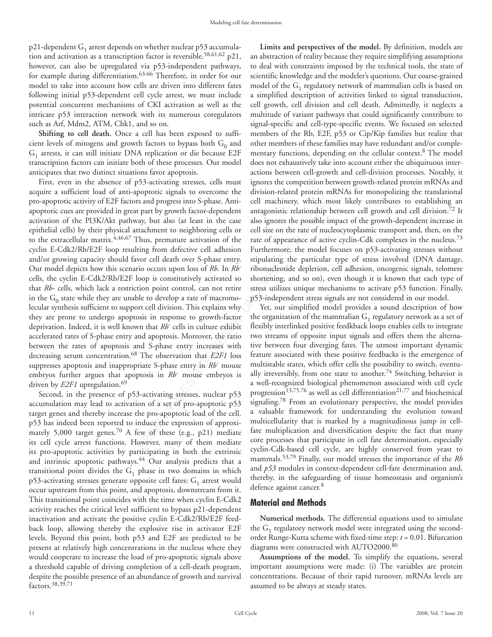p21-dependent  $G_1$  arrest depends on whether nuclear p53 accumulation and activation as a transcription factor is reversible.<sup>58,61,62</sup> p21, however, can also be upregulated via p53-independent pathways, for example during differentiation.63-66 Therefore, in order for our model to take into account how cells are driven into different fates following initial p53-dependent cell cycle arrest, we must include potential concurrent mechanisms of CKI activation as well as the intricate p53 interaction network with its numerous coregulators such as Arf, Mdm2, ATM, Chk1, and so on.

**Shifting to cell death.** Once a cell has been exposed to sufficient levels of mitogens and growth factors to bypass both  $G_0$  and  $G_1$  arrests, it can still initiate DNA replication or die because E2F transcription factors can initiate both of these processes. Our model anticipates that two distinct situations favor apoptosis.

rs and progress into S-phase. Anti-<br>cell machinery, which m<br>the part by growth factor-dependent antagonistic relationship by<br>ay, but also (at least in the case also ignores the possible in<br>trachment to neighboring cells o First, even in the absence of p53-activating stresses, cells must acquire a sufficient load of anti-apoptotic signals to overcome the pro-apoptotic activity of E2F factors and progress into S-phase. Antiapoptotic cues are provided in great part by growth factor-dependent activation of the PI3K/Akt pathway, but also (at least in the case epithelial cells) by their physical attachment to neighboring cells or to the extracellular matrix.4,46,67 Thus, premature activation of the cyclin E-Cdk2/Rb/E2F loop resulting from defective cell adhesion and/or growing capacity should favor cell death over S-phase entry. Our model depicts how this scenario occurs upon loss of *Rb*. In *Rb*cells, the cyclin E-Cdk2/Rb/E2F loop is constitutively activated so that *Rb-* cells, which lack a restriction point control, can not retire in the  $G_0$  state while they are unable to develop a rate of macromolecular synthesis sufficient to support cell division. This explains why they are prone to undergo apoptosis in response to growth-factor deprivation. Indeed, it is well known that *Rb-* cells in culture exhibit accelerated rates of S-phase entry and apoptosis. Moreover, the ratio between the rates of apoptosis and S-phase entry increases with decreasing serum concentration.68 The observation that *E2F1* loss suppresses apoptosis and inappropriate S-phase entry in *Rb-* mouse embryos further argues that apoptosis in *Rb-* mouse embryos is driven by *E2F1* upregulation.<sup>69</sup>

Second, in the presence of p53-activating stresses, nuclear p53 accumulation may lead to activation of a set of pro-apoptotic p53 target genes and thereby increase the pro-apoptotic load of the cell. p53 has indeed been reported to induce the expression of approximately 5,000 target genes.70 A few of these (e.g., p21) mediate its cell cycle arrest functions. However, many of them mediate its pro-apoptotic activities by participating in both the extrinsic and intrinsic apoptotic pathways.<sup>44</sup> Our analysis predicts that a transitional point divides the  $G_1$  phase in two domains in which p53-activating stresses generate opposite cell fates:  $G_1$  arrest would occur upstream from this point, and apoptosis, downstream from it. This transitional point coincides with the time when cyclin E-Cdk2 activity reaches the critical level sufficient to bypass p21-dependent inactivation and activate the positive cyclin E-Cdk2/Rb/E2F feedback loop, allowing thereby the explosive rise in activator E2F levels. Beyond this point, both p53 and E2F are predicted to be present at relatively high concentrations in the nucleus where they would cooperate to increase the load of pro-apoptotic signals above a threshold capable of driving completion of a cell-death program, despite the possible presence of an abundance of growth and survival factors.38,39,71

**Limits and perspectives of the model.** By definition, models are an abstraction of reality because they require simplifying assumptions to deal with constraints imposed by the technical tools, the state of scientific knowledge and the modeler's questions. Our coarse-grained model of the  $G_1$  regulatory network of mammalian cells is based on a simplified description of activities linked to signal transduction, cell growth, cell division and cell death. Admittedly, it neglects a multitude of variant pathways that could significantly contribute to signal-specific and cell-type-specific events. We focused on selected members of the Rb, E2F, p53 or Cip/Kip families but realize that other members of these families may have redundant and/or complementary functions, depending on the cellular context.<sup>8</sup> The model does not exhaustively take into account either the ubiquituous interactions between cell-growth and cell-division processes. Notably, it ignores the competition between growth-related protein mRNAs and division-related protein mRNAs for monopolizing the translational cell machinery, which most likely contributes to establishing an antagonistic relationship between cell growth and cell division.72 It also ignores the possible impact of the growth-dependent increase in cell size on the rate of nucleocytoplasmic transport and, then, on the rate of appearance of active cyclin-Cdk complexes in the nucleus.<sup>73</sup> Furthermore, the model focuses on p53-activating stresses without stipulating the particular type of stress involved (DNA damage, ribonucleotide depletion, cell adhesion, oncogenic signals, telomere shortening, and so on), even though it is known that each type of stress utilizes unique mechanisms to activate p53 function. Finally, p53-independent stress signals are not considered in our model.

Yet, our simplified model provides a sound description of how the organization of the mammalian  $G_1$  regulatory network as a set of flexibly interlinked positive feedkback loops enables cells to integrate two streams of opposite input signals and offers them the alternative between four diverging fates. The utmost important dynamic feature associated with these positive feedbacks is the emergence of multistable states, which offer cells the possibility to switch, eventually irreversibly, from one state to another.<sup>74</sup> Switching behavior is a well-recognized biological phenomenon associated with cell cycle progression<sup>13,75,76</sup> as well as cell differentiation<sup>21,77</sup> and biochemical signaling.78 From an evolutionary perspective, the model provides a valuable framework for understanding the evolution toward multicellularity that is marked by a magnitudinous jump in cellfate multiplication and diversification despite the fact that many core processes that participate in cell fate determination, especially cyclin-Cdk-based cell cycle, are highly conserved from yeast to mammals.53,79 Finally, our model stresses the importance of the *Rb* and *p53* modules in context-dependent cell-fate determination and, thereby, in the safeguarding of tissue homeostasis and organism's defence against cancer.<sup>8</sup>

### **Material and Methods**

**Numerical methods.** The differential equations used to simulate the  $G_1$  regulatory network model were integrated using the secondorder Runge-Kutta scheme with fixed-time step: *t* = 0.01. Bifurcation diagrams were constructed with AUTO2000.80

**Assumptions of the model.** To simplify the equations, several important assumptions were made: (i) The variables are protein concentrations. Because of their rapid turnover, mRNAs levels are assumed to be always at steady states.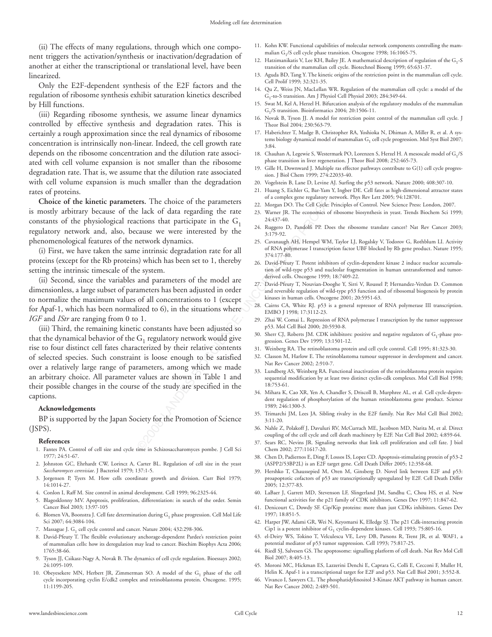(ii) The effects of many regulations, through which one component triggers the activation/synthesis or inactivation/degradation of another at either the transcriptional or translational level, have been linearized.

Only the E2F-dependent synthesis of the E2F factors and the regulation of ribosome synthesis exhibit saturation kinetics described by Hill functions.

(iii) Regarding ribosome synthesis, we assume linear dynamics controlled by effective synthesis and degradation rates. This is certainly a rough approximation since the real dynamics of ribosome concentration is intrinsically non-linear. Indeed, the cell growth rate depends on the ribosome concentration and the dilution rate associated with cell volume expansion is not smaller than the ribosome degradation rate. That is, we assume that the dilution rate associated with cell volume expansion is much smaller than the degradation rates of proteins.

**Choice of the kinetic parameters.** The choice of the parameters is mostly arbitrary because of the lack of data regarding the rate constants of the physiological reactions that participate in the  $G_1$ regulatory network and, also, because we were interested by the phenomenological features of the network dynamics.

(i) First, we have taken the same intrinsic degradation rate for all proteins (except for the Rb proteins) which has been set to 1, thereby setting the intrinsic timescale of the system.

(ii) Second, since the variables and parameters of the model are dimensionless, a large subset of parameters has been adjusted in order to normalize the maximum values of all concentrations to 1 (except for Apaf-1, which has been normalized to 6), in the situations where *IGF* and *IStr* are ranging from 0 to 1.

**EVALUATION CONSECT AND SECTIVE AND SECTION MANUS ENCISE AN EXAMPLE SCIENCE AND MANUS (CONSECTION THE CHAND CORRECT (SCIENCE) AND A SUPPORT (SCIENCE AND A SUPPORT (SCIENCE) AND A SUPPORT (SCIENCE AND A SUPPORT (SCIENCE) A** (iii) Third, the remaining kinetic constants have been adjusted so that the dynamical behavior of the  $G_1$  regulatory network would give rise to four distinct cell fates characterized by their relative contents of selected species. Such constraint is loose enough to be satisfied over a relatively large range of parameters, among which we made an arbitrary choice. All parameter values are shown in Table 1 and their possible changes in the course of the study are specified in the captions.

#### **Acknowledgements**

BP is supported by the Japan Society for the Promotion of Science (JSPS).

#### **References**

- 1. Fantes PA. Control of cell size and cycle time in Schizosaccharomyces pombe. J Cell Sci 1977; 24:51-67.
- 2. Johnston GC, Ehrhardt CW, Lorincz A, Carter BL. Regulation of cell size in the yeast *Saccharomyces cerevisiae*. J Bacteriol 1979; 137:1-5.
- 3. Jorgensen P, Tyers M. How cells coordinate growth and division. Curr Biol 1979; 14:1014-27.
- 4. Conlon I, Raff M. Size control in animal development. Cell 1999; 96:2325-44.
- 5. Blagosklonny MV. Apoptosis, proliferation, differentiation: in search of the order. Semin Cancer Biol 2003; 13:97-105
- 6. Blomen VA, Boonstra J. Cell fate determination during  $G_1$  phase progression. Cell Mol Life Sci 2007; 64:3084-104.
- 7. Massague J.  $G_1$  cell cycle control and cancer. Nature 2004; 432:298-306.
- 8. David-Pfeuty T. The flexible evolutionary anchorage-dependent Pardee's restriction point of mammalian cells: how its deregulation may lead to cancer. Biochim Biophys Acta 2006; 1765:38-66.
- 9. Tyson JJ, Csikasz-Nagy A, Novak B. The dynamics of cell cycle regulation. Bioessays 2002; 24:1095-109.
- 10. Obeyesekere MN, Herbert JR, Zimmerman SO. A model of the  $G_1$  phase of the cell cycle incorporating cyclin E/cdk2 complex and retinoblastoma protein. Oncogene. 1995; 11:1199-205.
- 11. Kohn KW. Functional capabilities of molecular network components controlling the mammalian G<sub>1</sub>/S cell cycle phase transition. Oncogene 1998; 16:1065-75.
- 12. Hatzimanikatis V, Lee KH, Bailey JE. A mathematical description of regulation of the  $G_1$ -S transition of the mammalian cell cycle. Biotechnol Bioeng 1999; 65:631-37.
- 13. Aguda BD, Tang Y. The kinetic origins of the restriction point in the mammalian cell cycle. Cell Prolif 1999; 32:321-35.
- 14. Qu Z, Weiss JN, MacLellan WR. Regulation of the mammalian cell cycle: a model of the G1-to-S transition. Am J Physiol Cell Physiol 2003; 284:349-64.
- 15. Swat M, Kel A, Herzel H. Bifurcation analysis of the regulatory modules of the mammalian G1/S transition. Bioinformatics 2004; 20:1506-11.
- 16. Novak B, Tyson JJ. A model for restriction point control of the mammalian cell cycle. J Theor Biol 2004; 230:563-79.
- 17. Haberichter T, Madge B, Christopher RA, Yoshioka N, Dhiman A, Miller R, et al. A systems biology dynamical model of mammalian  $G_1$  cell cycle progression. Mol Syst Biol 2007; 3:84.
- 18. Chauhan A, Legewie S, Westermark PO, Lorenzen S, Herzel H. A mesoscale model of G<sub>1</sub>/S phase transition in liver regeneration. J Theor Biol 2008; 252:465-73.
- 19. Gille H, Downward J. Multiple ras effector pathways contribute to G(1) cell cycle progression. J Biol Chem 1999; 274:22033-40.
- 20. Vogelstein B, Lane D, Levine AJ. Surfing the p53 network. Nature 2000; 408:307-10.
- 21. Huang S, Eichler G, Bar-Yam Y, Ingber DE. Cell fates as high-dimensional attractor states of a complex gene regulatory network. Phys Rev Lett 2005; 94:128701.
- 22. Morgan DO. The Cell Cycle: Principles of Control. New Science Press: London, 2007.
- 23. Warner JR. The economics of ribosome biosynthesis in yeast. Trends Biochem Sci 1999; 24:437-40.
- 24. Ruggero D, Pandolfi PP. Does the ribosome translate cancer? Nat Rev Cancer 2003; 3:179-92.
- 25. Cavanaugh AH, Hempel WM, Taylor LJ, Rogalsky V, Todorov G, Rothblum LI. Activity of RNA polymerase I transcription factor UBF blocked by Rb gene product. Nature 1995; 374:177-80.
- 26. David-Pfeuty T. Potent inhibitors of cyclin-dependent kinase 2 induce nuclear accumulation of wild-type p53 and nucleolar fragmentation in human untransformed and tumorderived cells. Oncogene 1999; 18:7409-22.
- 27. David-Pfeuty T, Nouvian-Dooghe Y, Sirri V, Roussel P, Hernandez-Verdun D. Common and reversible regulation of wild-type p53 function and of ribosomal biogenesis by protein kinases in human cells. Oncogene 2001; 20:5951-63.
- 28. Cairns CA, White RJ. p53 is a general repressor of RNA polymerase III transcription. EMBO J 1998; 17:3112-23.
- 29. Zhai W, Comai L. Repression of RNA polymerase I transcription by the tumor suppressor p53. Mol Cell Biol 2000; 20:5930-8.
- 30. Sherr CJ, Roberts JM. CDK inhibitors: positive and negative regulators of  $G_1$ -phase progression. Genes Dev 1999; 13:1501-12.
- 31. Weinberg RA. The retinoblastoma protein and cell cycle control. Cell 1995; 81:323-30.
- 32. Classon M, Harlow E. The retinoblastoma tumour suppressor in development and cancer. Nat Rev Cancer 2002; 2:910-7.
- 33. Lundberg AS, Weinberg RA. Functional inactivation of the retinoblastoma protein requires sequential modification by at least two distinct cyclin-cdk complexes. Mol Cell Biol 1998; 18:753-61.
- 34. Mihara K, Cao XR, Yen A, Chandler S, Driscoll B, Murphree AL, et al. Cell cycle-dependent regulation of phosphorylation of the human retinoblastoma gene product. Science 1989; 246:1300-3.
- 35. Trimarchi JM, Lees JA. Sibling rivalry in the E2F family. Nat Rev Mol Cell Biol 2002; 3:11-20.
- 36. Nahle Z, Polakoff J, Davuluri RV, McCurrach ME, Jacobson MD, Narita M, et al. Direct coupling of the cell cycle and cell death machinery by E2F. Nat Cell Biol 2002; 4:859-64.
- 37. Sears RC, Nevins JR. Signaling networks that link cell proliferation and cell fate. J biol Chem 2002; 277:11617-20.
- 38. Chen D, Padiernos E, Ding F, Lossos IS, Lopez CD. Apoptosis-stimulating protein of p53-2 (ASPP2/53BP2L) is an E2F target gene. Cell Death Differ 2005; 12:358-68.
- 39. Hershko T, Chaussepied M, Oren M, Ginsberg D. Novel link between E2F and p53: proapoptotic cofactors of p53 are transcriptionally upregulated by E2F. Cell Death Differ 2005; 12:377-83.
- 40. LaBaer J, Garrett MD, Stevenson LF, Slingerland JM, Sandhu C, Chou HS, et al. New functional activities for the p21 family of CDK inhibitors. Genes Dev 1997; 11:847-62.
- 41. Denicourt C, Dowdy SF. Cip/Kip proteins: more than just CDKs inhibitors. Genes Dev 1997; 18:851-5.
- 42. Harper JW, Adami GR, Wei N, Keyomarsi K, Elledge SJ. The p21 Cdk-interacting protein Cip1 is a potent inhibitor of  $G_1$  cyclin-dependent kinases. Cell 1993; 75:805-16.
- 43. el-Deiry WS, Tokino T, Velculescu VE, Levy DB, Parsons R, Trent JR, et al. WAF1, a potential mediator of p53 tumor suppression. Cell 1993; 75:817-25.
- 44. Riedl SJ, Salvesen GS. The apoptosome: signalling platform of cell death. Nat Rev Mol Cell Biol 2007; 8:405-13.
- 45. Moroni MC, Hickman ES, Lazzerini Denchi E, Caprara G, Colli E, Cecconi F, Muller H, Helin K. Apaf-1 is a transcriptional target for E2F and p53. Nat Cell Biol 2001; 3:552-8.
- 46. Vivanco I, Sawyers CL. The phosphatidylinositol 3-Kinase AKT pathway in human cancer. Nat Rev Cancer 2002; 2:489-501.